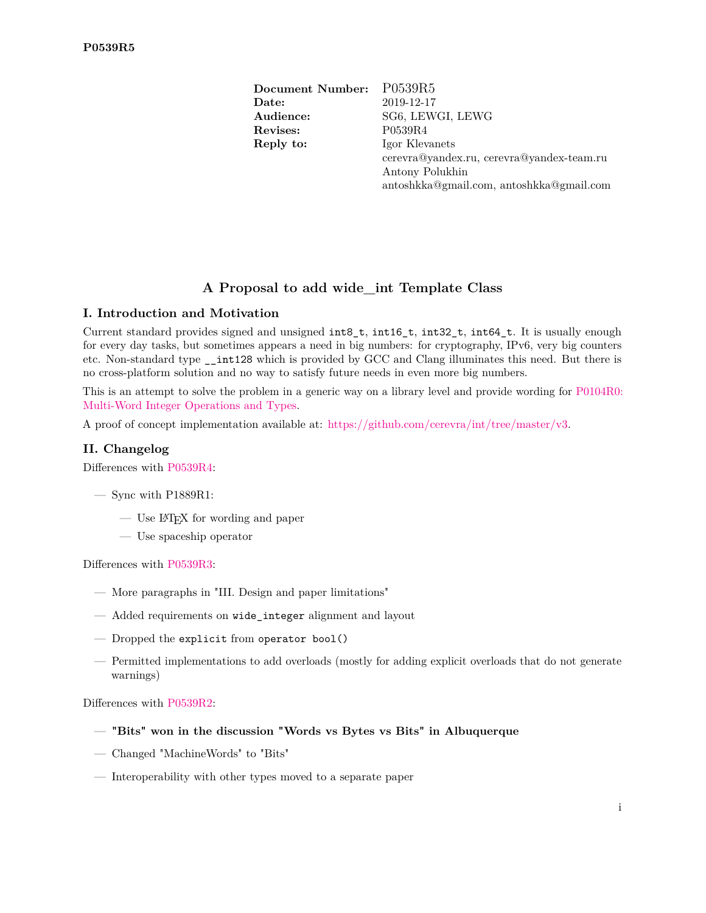**Document Number:** P0539R5 **Date:** 2019-12-17 **Audience:** SG6, LEWGI, LEWG **Revises:** P0539R4 **Reply to:** Igor Klevanets cerevra@yandex.ru, cerevra@yandex-team.ru Antony Polukhin antoshkka@gmail.com, antoshkka@gmail.com

# **A Proposal to add wide\_int Template Class**

# **I. Introduction and Motivation**

Current standard provides signed and unsigned int8 t, int16 t, int32 t, int64 t. It is usually enough for every day tasks, but sometimes appears a need in big numbers: for cryptography, IPv6, very big counters etc. Non-standard type \_\_int128 which is provided by GCC and Clang illuminates this need. But there is no cross-platform solution and no way to satisfy future needs in even more big numbers.

This is an attempt to solve the problem in a generic way on a library level and provide wording for [P0104R0:](https://wg21.link/P0104R0) [Multi-Word Integer Operations and Types.](https://wg21.link/P0104R0)

A proof of concept implementation available at: [https://github.com/cerevra/int/tree/master/v3.](https://github.com/cerevra/int/tree/master/v3)

## **II. Changelog**

Differences with [P0539R4:](https://wg21.link/P0539R4)

- Sync with P1889R1:
	- Use LATEX for wording and paper
	- Use spaceship operator

Differences with [P0539R3:](https://wg21.link/P0539R3)

- More paragraphs in "III. Design and paper limitations"
- Added requirements on wide\_integer alignment and layout
- Dropped the explicit from operator bool()
- Permitted implementations to add overloads (mostly for adding explicit overloads that do not generate warnings)

Differences with [P0539R2:](https://wg21.link/P0539R2)

- **"Bits" won in the discussion "Words vs Bytes vs Bits" in Albuquerque**
- Changed "MachineWords" to "Bits"
- Interoperability with other types moved to a separate paper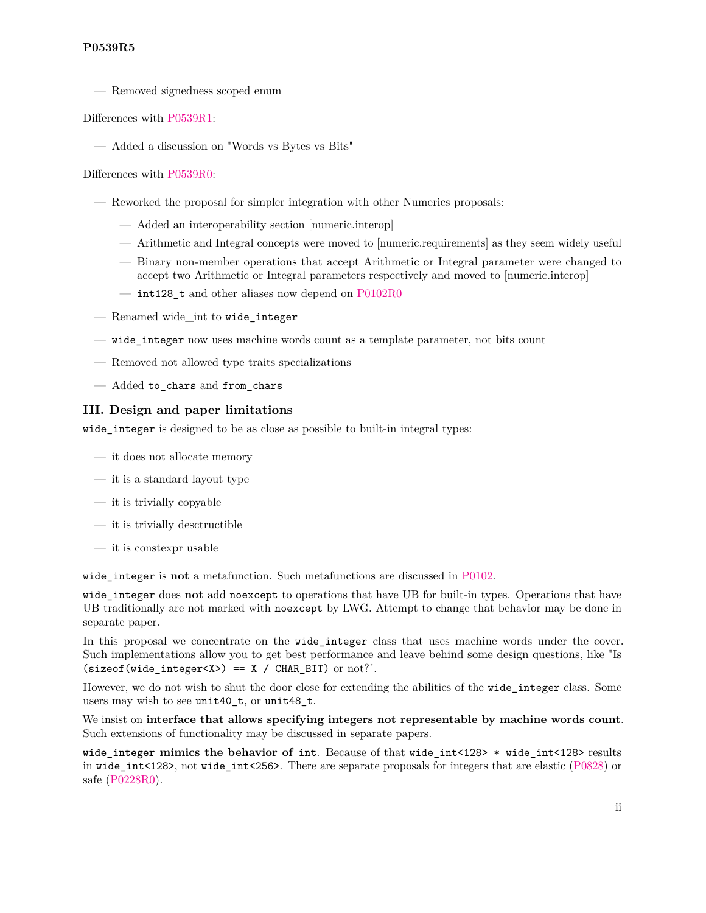# **P0539R5**

— Removed signedness scoped enum

# Differences with [P0539R1:](https://wg21.link/P0539R1)

— Added a discussion on "Words vs Bytes vs Bits"

# Differences with [P0539R0:](https://wg21.link/P0539R0)

- Reworked the proposal for simpler integration with other Numerics proposals:
	- Added an interoperability section [numeric.interop]
	- Arithmetic and Integral concepts were moved to [numeric.requirements] as they seem widely useful
	- Binary non-member operations that accept Arithmetic or Integral parameter were changed to accept two Arithmetic or Integral parameters respectively and moved to [numeric.interop]
	- int128 t and other aliases now depend on  $P0102R0$
- Renamed wide\_int to wide\_integer
- wide\_integer now uses machine words count as a template parameter, not bits count
- Removed not allowed type traits specializations
- Added to\_chars and from\_chars

# **III. Design and paper limitations**

wide\_integer is designed to be as close as possible to built-in integral types:

- it does not allocate memory
- it is a standard layout type
- $-$  it is trivially copyable
- it is trivially desctructible
- it is constexpr usable

wide\_integer is **not** a metafunction. Such metafunctions are discussed in [P0102.](https://wg21.link/P0102)

wide\_integer does **not** add noexcept to operations that have UB for built-in types. Operations that have UB traditionally are not marked with noexcept by LWG. Attempt to change that behavior may be done in separate paper.

In this proposal we concentrate on the wide\_integer class that uses machine words under the cover. Such implementations allow you to get best performance and leave behind some design questions, like "Is  $(sizeof(wide_interestX>) == X / CHAR_BIT)$  or not?".

However, we do not wish to shut the door close for extending the abilities of the wide\_integer class. Some users may wish to see unit40\_t, or unit48\_t.

We insist on **interface that allows specifying integers not representable by machine words count**. Such extensions of functionality may be discussed in separate papers.

**wide\_integer mimics the behavior of int**. Because of that wide\_int<128> \* wide\_int<128> results in wide\_int<128>, not wide\_int<256>. There are separate proposals for integers that are elastic [\(P0828\)](https://wg21.link/P0828) or safe [\(P0228R0\)](https://wg21.link/P0228R0).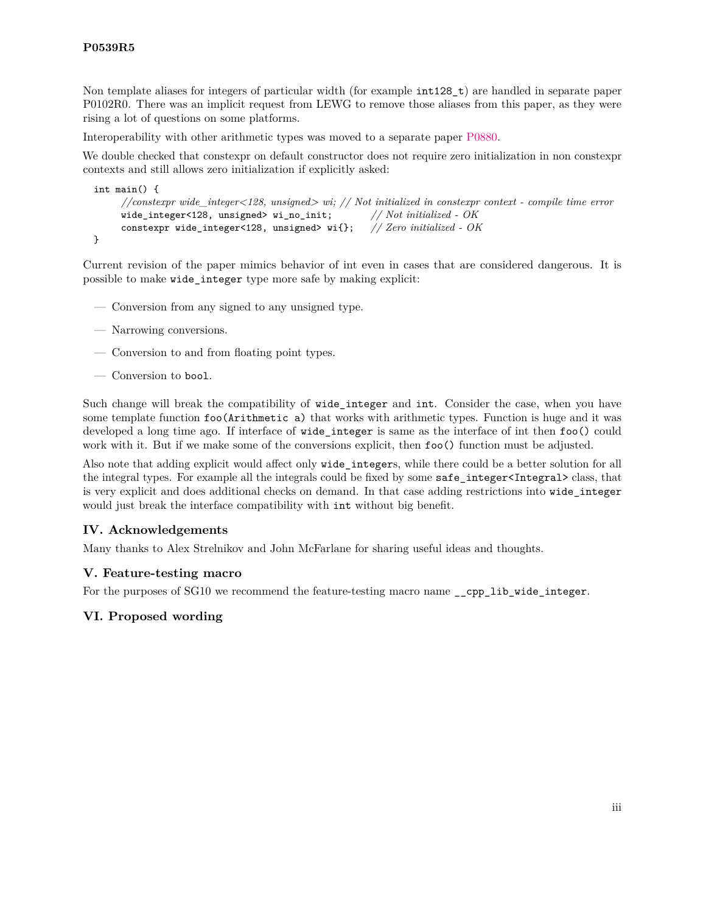Non template aliases for integers of particular width (for example  $int128\text{ t}$ ) are handled in separate paper P0102R0. There was an implicit request from LEWG to remove those aliases from this paper, as they were rising a lot of questions on some platforms.

Interoperability with other arithmetic types was moved to a separate paper [P0880.](https://wg21.link/P0880)

We double checked that constexpr on default constructor does not require zero initialization in non constexpr contexts and still allows zero initialization if explicitly asked:

```
int main() {
     //constexpr wide_integer<128, unsigned> wi; // Not initialized in constexpr context - compile time error
     wide_integer<128, unsigned> wi_no_init; // Not initialized - OK
     constexpr wide_integer<128, unsigned> wi{}; // Zero initialized - OK
}
```
Current revision of the paper mimics behavior of int even in cases that are considered dangerous. It is possible to make wide\_integer type more safe by making explicit:

- Conversion from any signed to any unsigned type.
- Narrowing conversions.
- Conversion to and from floating point types.
- Conversion to bool.

Such change will break the compatibility of wide\_integer and int. Consider the case, when you have some template function foo(Arithmetic a) that works with arithmetic types. Function is huge and it was developed a long time ago. If interface of wide\_integer is same as the interface of int then foo() could work with it. But if we make some of the conversions explicit, then  $f \circ \circ (x)$  function must be adjusted.

Also note that adding explicit would affect only wide integers, while there could be a better solution for all the integral types. For example all the integrals could be fixed by some safe\_integer<Integral> class, that is very explicit and does additional checks on demand. In that case adding restrictions into wide\_integer would just break the interface compatibility with int without big benefit.

### **IV. Acknowledgements**

Many thanks to Alex Strelnikov and John McFarlane for sharing useful ideas and thoughts.

### **V. Feature-testing macro**

For the purposes of SG10 we recommend the feature-testing macro name \_\_cpp\_lib\_wide\_integer.

### **VI. Proposed wording**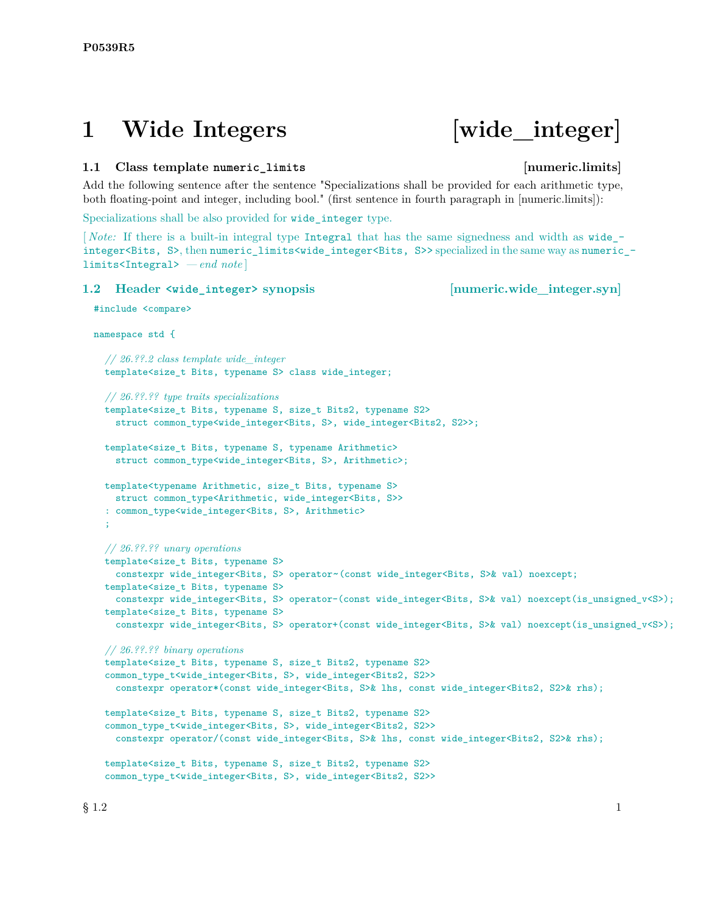# **1 Wide Integers [wide\_integer]**

# **1.1 Class template numeric\_limits [numeric.limits]**

Add the following sentence after the sentence "Specializations shall be provided for each arithmetic type, both floating-point and integer, including bool." (first sentence in fourth paragraph in [numeric.limits]):

Specializations shall be also provided for wide integer type.

[*Note:* If there is a built-in integral type Integral that has the same signedness and width as wide integer<Bits, S>, then numeric\_limits<wide\_integer<Bits, S>> specialized in the same way as numeric\_ limits<Integral> *— end note* ]

# **1.2** Header  $\langle \text{wide integer} \rangle$  synopsis [numeric.wide integer.syn]

#include <compare>

namespace std {

```
// 26.??.2 class template wide_integer
template<size_t Bits, typename S> class wide_integer;
// 26.??.?? type traits specializations
template<size_t Bits, typename S, size_t Bits2, typename S2>
  struct common_type<wide_integer<Bits, S>, wide_integer<Bits2, S2>>;
template<size_t Bits, typename S, typename Arithmetic>
  struct common_type<wide_integer<Bits, S>, Arithmetic>;
template<typename Arithmetic, size_t Bits, typename S>
  struct common_type<Arithmetic, wide_integer<Bits, S>>
: common_type<wide_integer<Bits, S>, Arithmetic>
;
// 26.??.?? unary operations
template<size_t Bits, typename S>
 constexpr wide_integer<Bits, S> operator~(const wide_integer<Bits, S>& val) noexcept;
template<size_t Bits, typename S>
 constexpr wide_integer<Bits, S> operator-(const wide_integer<Bits, S>& val) noexcept(is_unsigned_v<S>);
template<size_t Bits, typename S>
  constexpr wide_integer<Bits, S> operator+(const wide_integer<Bits, S>& val) noexcept(is_unsigned_v<S>);
// 26.??.?? binary operations
template<size_t Bits, typename S, size_t Bits2, typename S2>
common_type_t<wide_integer<Bits, S>, wide_integer<Bits2, S2>>
  constexpr operator*(const wide_integer<Bits, S>& lhs, const wide_integer<Bits2, S2>& rhs);
template<size_t Bits, typename S, size_t Bits2, typename S2>
common_type_t<wide_integer<Bits, S>, wide_integer<Bits2, S2>>
  constexpr operator/(const wide_integer<Bits, S>& lhs, const wide_integer<Bits2, S2>& rhs);
template<size_t Bits, typename S, size_t Bits2, typename S2>
common_type_t<wide_integer<Bits, S>, wide_integer<Bits2, S2>>
```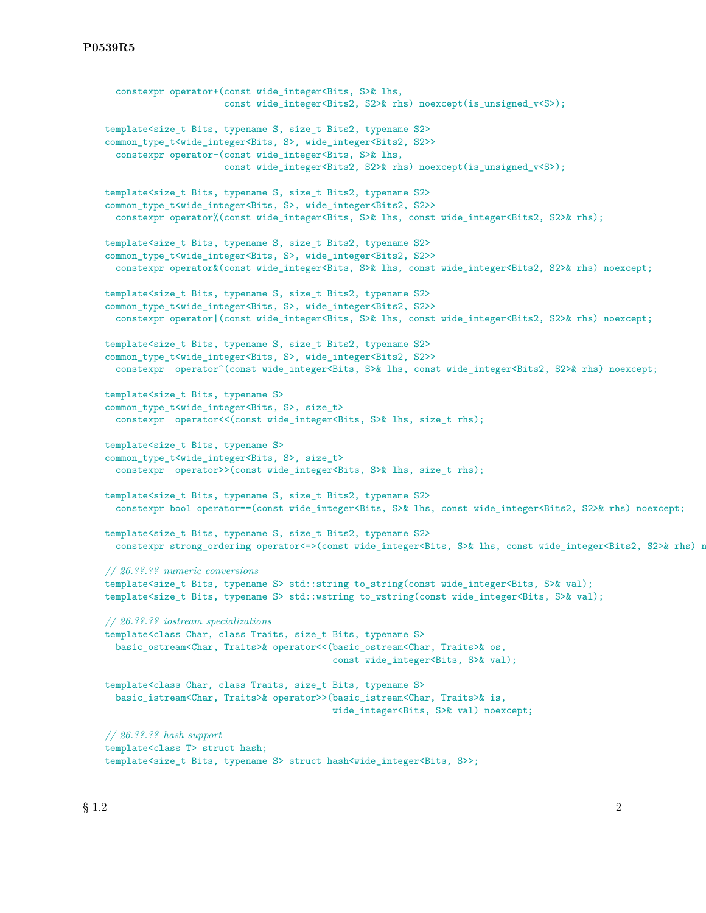```
constexpr operator+(const wide integer<Bits, S>& lhs,
                      const wide_integer<Bits2, S2>& rhs) noexcept(is_unsigned_v<S>);
template<size_t Bits, typename S, size_t Bits2, typename S2>
common_type_t<wide_integer<Bits, S>, wide_integer<Bits2, S2>>
  constexpr operator-(const wide_integer<Bits, S>& lhs,
                      const wide_integer<Bits2, S2>& rhs) noexcept(is_unsigned_v<S>);
template<size_t Bits, typename S, size_t Bits2, typename S2>
common_type_t<wide_integer<Bits, S>, wide_integer<Bits2, S2>>
  constexpr operator%(const wide_integer<Bits, S>& lhs, const wide_integer<Bits2, S2>& rhs);
template<size_t Bits, typename S, size_t Bits2, typename S2>
common_type_t<wide_integer<Bits, S>, wide_integer<Bits2, S2>>
 constexpr operator&(const wide_integer<Bits, S>& lhs, const wide_integer<Bits2, S2>& rhs) noexcept;
template<size_t Bits, typename S, size_t Bits2, typename S2>
common_type_t<wide_integer<Bits, S>, wide_integer<Bits2, S2>>
 constexpr operator|(const wide_integer<Bits, S>& lhs, const wide_integer<Bits2, S2>& rhs) noexcept;
template<size_t Bits, typename S, size_t Bits2, typename S2>
common_type_t<wide_integer<Bits, S>, wide_integer<Bits2, S2>>
  constexpr operator^(const wide_integer<Bits, S>& lhs, const wide_integer<Bits2, S2>& rhs) noexcept;
template<size_t Bits, typename S>
common_type_t<wide_integer<Bits, S>, size_t>
  constexpr operator<<(const wide_integer<Bits, S>& lhs, size_t rhs);
template<size_t Bits, typename S>
common_type_t<wide_integer<Bits, S>, size_t>
  constexpr operator>>(const wide_integer<Bits, S>& lhs, size_t rhs);
template<size_t Bits, typename S, size_t Bits2, typename S2>
  constexpr bool operator==(const wide_integer<Bits, S>& lhs, const wide_integer<Bits2, S2>& rhs) noexcept;
template<size_t Bits, typename S, size_t Bits2, typename S2>
  constexpr strong_ordering operator <= > (const wide_integer<Bits, S>& lhs, const wide_integer<Bits2, S2>& rhs) n
// 26.??.?? numeric conversions
template<size_t Bits, typename S> std::string to_string(const wide_integer<Bits, S>& val);
template<size_t Bits, typename S> std::wstring to_wstring(const wide_integer<Bits, S>& val);
// 26.??.?? iostream specializations
template<class Char, class Traits, size_t Bits, typename S>
 basic_ostream<Char, Traits>& operator<<(basic_ostream<Char, Traits>& os,
                                          const wide_integer<Bits, S>& val);
template<class Char, class Traits, size_t Bits, typename S>
  basic_istream<Char, Traits>& operator>>(basic_istream<Char, Traits>& is,
                                          wide_integer<Bits, S>& val) noexcept;
// 26.??.?? hash support
template<class T> struct hash;
template<size_t Bits, typename S> struct hash<wide_integer<Bits, S>>;
```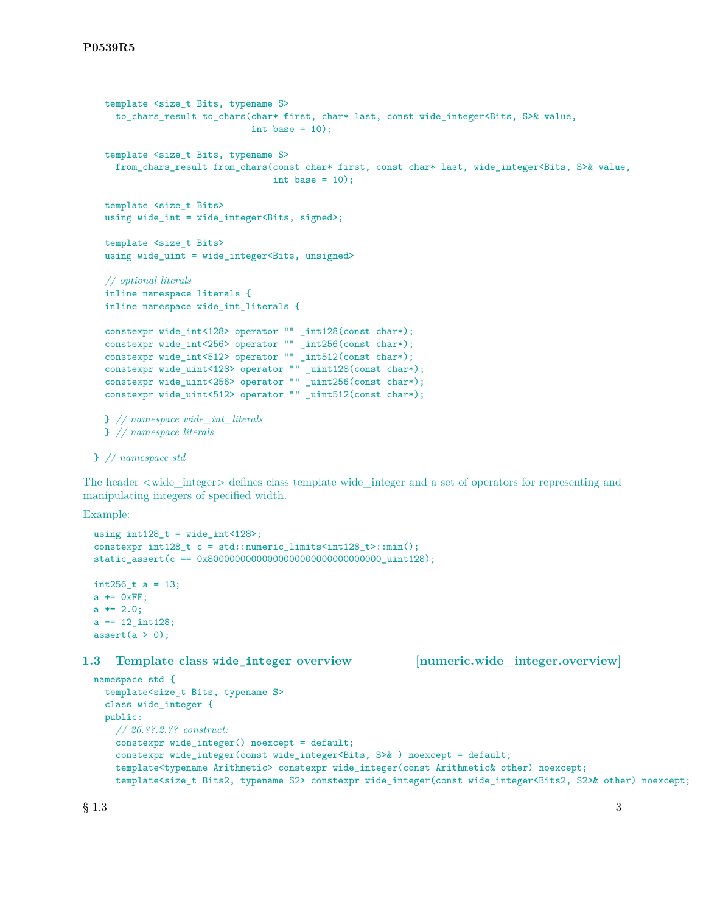```
template <size_t Bits, typename S>
  to_chars_result to_chars(char* first, char* last, const wide_integer<Bits, S>& value,
                           int base = 10);
template <size_t Bits, typename S>
  from_chars_result from_chars(const char* first, const char* last, wide_integer<Bits, S>& value,
                               int base = 10);
template <size_t Bits>
using wide_int = wide_integer<Bits, signed>;
template <size_t Bits>
using wide_uint = wide_integer<Bits, unsigned>
// optional literals
inline namespace literals {
inline namespace wide_int_literals {
constexpr wide_int<128> operator "" _int128(const char*);
constexpr wide_int<256> operator "" _int256(const char*);
constexpr wide_int<512> operator "" _int512(const char*);
constexpr wide_uint<128> operator "" _uint128(const char*);
constexpr wide_uint<256> operator "" _uint256(const char*);
constexpr wide_uint<512> operator "" _uint512(const char*);
} // namespace wide_int_literals
} // namespace literals
```
} *// namespace std*

The header <wide\_integer> defines class template wide\_integer and a set of operators for representing and manipulating integers of specified width.

Example:

```
using int128_t = wide\_int<128;
constexpr int128_t c = std::numeric_limits<int128_t>::min();
static_assert(c == 0x80000000000000000000000000000000_uint128);
int256_t a = 13;
a \leftarrow 0xFF;a * = 2.0;
a = 12 \nint128;assert(a > 0);
```
### **1.3 Template class wide\_integer overview [numeric.wide\_integer.overview]**

```
namespace std {
  template<size_t Bits, typename S>
  class wide_integer {
  public:
    // 26.??.2.?? construct:
    constexpr wide_integer() noexcept = default;
    constexpr wide_integer(const wide_integer<Bits, S>& ) noexcept = default;
    template<typename Arithmetic> constexpr wide_integer(const Arithmetic& other) noexcept;
    template<size_t Bits2, typename S2> constexpr wide_integer(const wide_integer<Bits2, S2>& other) noexcept;
```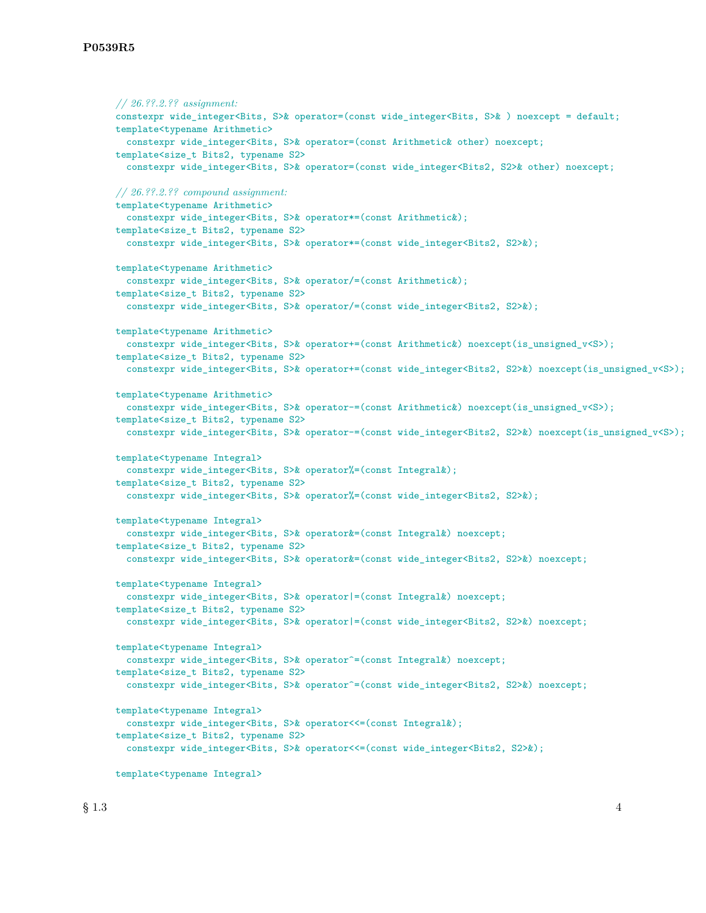```
// 26.??.2.?? assignment:
constexpr wide_integer<Bits, S>& operator=(const wide_integer<Bits, S>& ) noexcept = default;
template<typename Arithmetic>
  constexpr wide_integer<Bits, S>& operator=(const Arithmetic& other) noexcept;
template<size t Bits2, typename S2>
  constexpr wide_integer<Bits, S>& operator=(const wide_integer<Bits2, S2>& other) noexcept;
// 26.??.2.?? compound assignment:
template<typename Arithmetic>
 constexpr wide_integer<Bits, S>& operator*=(const Arithmetic&);
template<size_t Bits2, typename S2>
  constexpr wide_integer<Bits, S>& operator*=(const wide_integer<Bits2, S2>&);
template<typename Arithmetic>
  constexpr wide_integer<Bits, S>& operator/=(const Arithmetic&);
template<size_t Bits2, typename S2>
 constexpr wide_integer<Bits, S>& operator/=(const wide_integer<Bits2, S2>&);
template<typename Arithmetic>
 constexpr wide_integer<Bits, S>& operator+=(const Arithmetic&) noexcept(is_unsigned_v<S>);
template<size_t Bits2, typename S2>
  constexpr wide_integer<Bits, S>& operator+=(const wide_integer<Bits2, S2>&) noexcept(is_unsigned_v<S>);
template<typename Arithmetic>
  constexpr wide_integer<Bits, S>& operator-=(const Arithmetic&) noexcept(is_unsigned_v<S>);
template<size_t Bits2, typename S2>
 constexpr wide_integer<Bits, S>& operator-=(const wide_integer<Bits2, S2>&) noexcept(is_unsigned_v<S>);
template<typename Integral>
  constexpr wide_integer<Bits, S>& operator%=(const Integral&);
template<size_t Bits2, typename S2>
  constexpr wide_integer<Bits, S>& operator%=(const wide_integer<Bits2, S2>&);
template<typename Integral>
 constexpr wide_integer<Bits, S>& operator&=(const Integral&) noexcept;
template<size_t Bits2, typename S2>
  constexpr wide_integer<Bits, S>& operator&=(const wide_integer<Bits2, S2>&) noexcept;
template<typename Integral>
  constexpr wide_integer<Bits, S>& operator |=(const Integral&) noexcept;
template<size_t Bits2, typename S2>
 constexpr wide_integer<Bits, S>& operator|=(const wide_integer<Bits2, S2>&) noexcept;
template<typename Integral>
 constexpr wide_integer<Bits, S>& operator^=(const Integral&) noexcept;
template<size_t Bits2, typename S2>
 constexpr wide_integer<Bits, S>& operator^=(const wide_integer<Bits2, S2>&) noexcept;
template<typename Integral>
  constexpr wide_integer<Bits, S>& operator<<=(const Integral&);
template<size_t Bits2, typename S2>
  constexpr wide_integer<Bits, S>& operator<<=(const wide_integer<Bits2, S2>&);
template<typename Integral>
```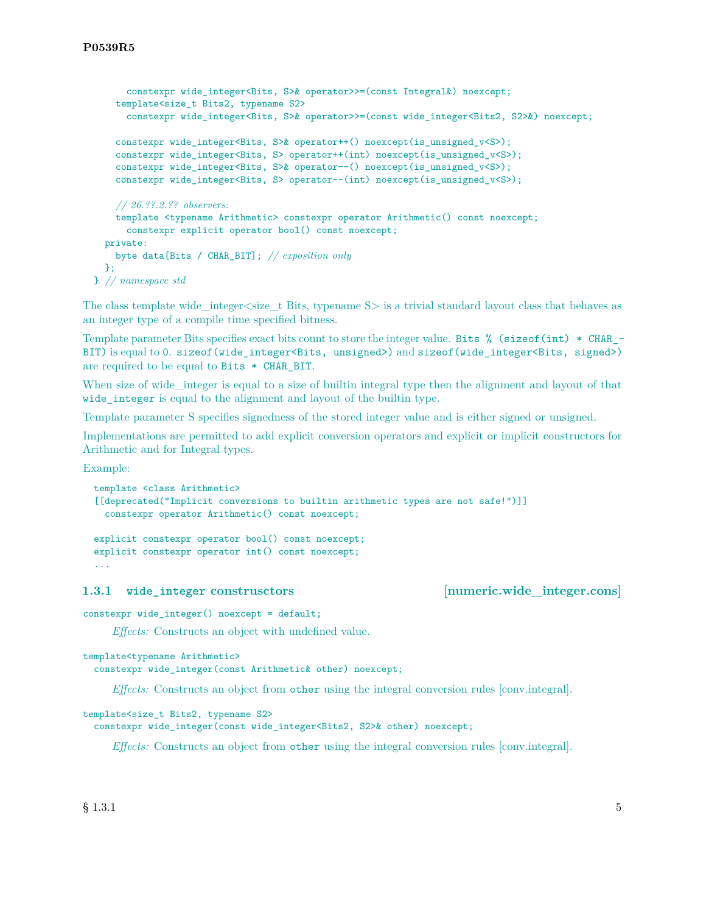```
constexpr wide integer<Bits, S>& operator>>=(const Integral&) noexcept;
    template<size_t Bits2, typename S2>
      constexpr wide_integer<Bits, S>& operator>>=(const wide_integer<Bits2, S2>&) noexcept;
    constexpr wide_integer<Bits, S>& operator++() noexcept(is_unsigned_v<S>);
    constexpr wide integer<Bits, S> operator++(int) noexcept(is unsigned v\leq);
    constexpr wide_integer<Bits, S>& operator--() noexcept(is_unsigned_v<S>);
    constexpr wide_integer<Bits, S> operator--(int) noexcept(is_unsigned_v<S>);
    // 26.??.2.?? observers:
    template <typename Arithmetic> constexpr operator Arithmetic() const noexcept;
      constexpr explicit operator bool() const noexcept;
  private:
    byte data[Bits / CHAR_BIT]; // exposition only
  \mathcal{F}:
} // namespace std
```
The class template wide integer  $\leq$  is the Bits, typename S $>$  is a trivial standard layout class that behaves as an integer type of a compile time specified bitness.

Template parameter Bits specifies exact bits count to store the integer value. Bits % (sizeof(int) \* CHAR\_- BIT) is equal to 0. sizeof(wide\_integer<Bits, unsigned>) and sizeof(wide\_integer<Bits, signed>) are required to be equal to Bits \* CHAR\_BIT.

When size of wide\_integer is equal to a size of builtin integral type then the alignment and layout of that wide\_integer is equal to the alignment and layout of the builtin type.

Template parameter S specifies signedness of the stored integer value and is either signed or unsigned.

Implementations are permitted to add explicit conversion operators and explicit or implicit constructors for Arithmetic and for Integral types.

Example:

```
template <class Arithmetic>
[[deprecated("Implicit conversions to builtin arithmetic types are not safe!")]]
  constexpr operator Arithmetic() const noexcept;
explicit constexpr operator bool() const noexcept;
explicit constexpr operator int() const noexcept;
...
```
1.3.1 **wide integer construsctors** [numeric.wide integer.cons]

constexpr wide\_integer() noexcept = default;

*Effects:* Constructs an object with undefined value.

```
template<typename Arithmetic>
```
constexpr wide\_integer(const Arithmetic& other) noexcept;

*Effects:* Constructs an object from other using the integral conversion rules [conv.integral].

```
template<size_t Bits2, typename S2>
```
constexpr wide\_integer(const wide\_integer<Bits2, S2>& other) noexcept;

*Effects:* Constructs an object from other using the integral conversion rules [conv.integral].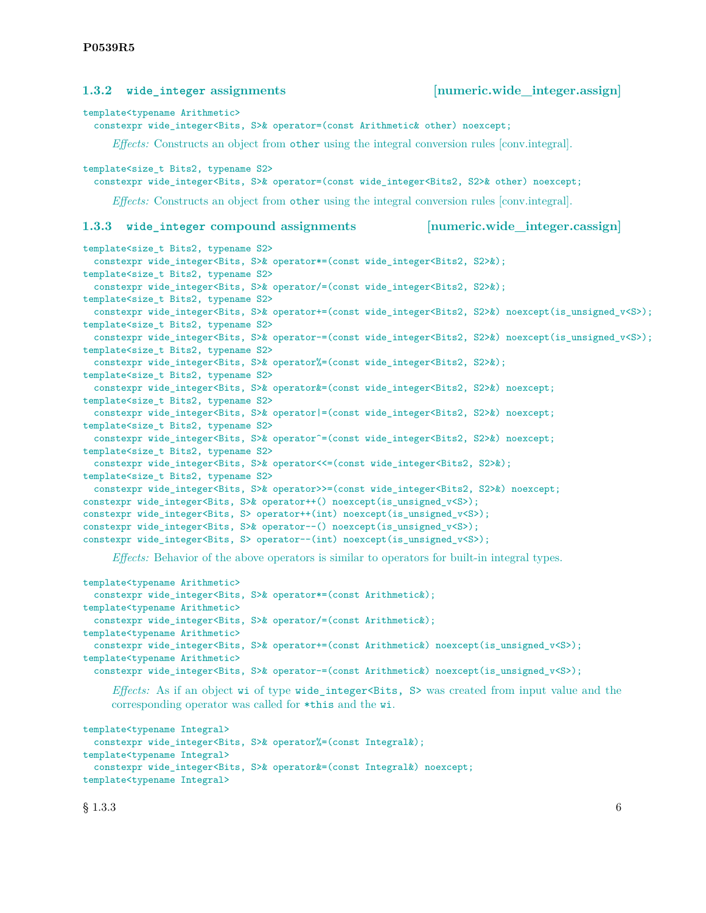|                                                                                                                                                                                                                                                                                                                                                                                                                                                                                                                                   | 1.3.2 wide_integer assignments                                                                                                                                                                                                                                                                                                                                                                                                                                                                                                                                                     | [numeric.wide_integer.assign]  |
|-----------------------------------------------------------------------------------------------------------------------------------------------------------------------------------------------------------------------------------------------------------------------------------------------------------------------------------------------------------------------------------------------------------------------------------------------------------------------------------------------------------------------------------|------------------------------------------------------------------------------------------------------------------------------------------------------------------------------------------------------------------------------------------------------------------------------------------------------------------------------------------------------------------------------------------------------------------------------------------------------------------------------------------------------------------------------------------------------------------------------------|--------------------------------|
| template <typename arithmetic=""><br/>constexpr wide_integer<bits, s="">&amp; operator=(const Arithmetic&amp; other) noexcept;</bits,></typename>                                                                                                                                                                                                                                                                                                                                                                                 |                                                                                                                                                                                                                                                                                                                                                                                                                                                                                                                                                                                    |                                |
|                                                                                                                                                                                                                                                                                                                                                                                                                                                                                                                                   | <i>Effects:</i> Constructs an object from other using the integral conversion rules [conv.integral].                                                                                                                                                                                                                                                                                                                                                                                                                                                                               |                                |
| template <size_t bits2,="" s2="" typename=""><br/>constexpr wide_integer<bits, s="">% operator=(const wide_integer<bits2, s2="">% other) noexcept;<br/><i>Effects:</i> Constructs an object from other using the integral conversion rules [conv.integral].</bits2,></bits,></size_t>                                                                                                                                                                                                                                             |                                                                                                                                                                                                                                                                                                                                                                                                                                                                                                                                                                                    |                                |
|                                                                                                                                                                                                                                                                                                                                                                                                                                                                                                                                   | 1.3.3 wide_integer compound assignments                                                                                                                                                                                                                                                                                                                                                                                                                                                                                                                                            | [numeric.wide_integer.cassign] |
| template <size_t bits2,="" s2="" typename=""><br/>constexpr wide_integer<bits, s="">% operator*=(const wide_integer<bits2, s2="">%);<br/>template<size_t bits2,="" s2="" typename=""><br/>constexpr wide_integer<bits, s="">% operator/=(const wide_integer<bits2, s2="">%);<br/>template<size_t bits2,="" s2="" typename=""><br/>constexpr wide_integer<bits, s="">% operator+=(const wide_integer<bits2, s2="">%) noexcept(is_unsigned_v<s>);</s></bits2,></bits,></size_t></bits2,></bits,></size_t></bits2,></bits,></size_t> |                                                                                                                                                                                                                                                                                                                                                                                                                                                                                                                                                                                    |                                |
|                                                                                                                                                                                                                                                                                                                                                                                                                                                                                                                                   | template <size_t_bits2, s2="" typename=""><br/>constexpr wide_integer<bits, s="">% operator-=(const wide_integer<bits2, s2="">%) noexcept(is_unsigned_v<s>);<br/>template<size_t bits2,="" s2="" typename=""><br/>constexpr wide_integer<bits, s="">% operator%=(const wide_integer<bits2, s2="">%);</bits2,></bits,></size_t></s></bits2,></bits,></size_t_bits2,>                                                                                                                                                                                                                |                                |
|                                                                                                                                                                                                                                                                                                                                                                                                                                                                                                                                   | template <size_t bits2,="" s2="" typename=""><br/>constexpr wide_integer<bits, s="">&amp; operator&amp;=(const wide_integer<bits2, s2="">&amp;) noexcept;<br/>template<size_t bits2,="" s2="" typename=""><br/>constexpr wide_integer<bits, s="">% operator =(const wide_integer<bits2, s2="">%) noexcept;</bits2,></bits,></size_t></bits2,></bits,></size_t>                                                                                                                                                                                                                     |                                |
|                                                                                                                                                                                                                                                                                                                                                                                                                                                                                                                                   | template <size_t bits2,="" s2="" typename=""><br/>constexpr wide_integer<bits, s="">% operator<sup>2</sup>=(const wide_integer<bits2, s2="">%) noexcept;<br/>template<size_t bits2,="" s2="" typename=""><br/>constexpr wide_integer<bits, s="">&amp; operator&lt;&lt;=(const wide_integer<bits2, s2="">&amp;);</bits2,></bits,></size_t></bits2,></bits,></size_t>                                                                                                                                                                                                                |                                |
|                                                                                                                                                                                                                                                                                                                                                                                                                                                                                                                                   | template <size_t bits2,="" s2="" typename=""><br/>constexpr wide_integer<bits, s="">&amp; operator&gt;&gt;=(const wide_integer<bits2, s2="">&amp;) noexcept;<br/>constexpr wide_integer<bits, s="">% operator++() noexcept(is_unsigned_v<s>);<br/>constexpr wide_integer<bits, s=""> operator++(int) noexcept(is_unsigned_v<s>);<br/>constexpr wide_integer<bits, s="">&amp; operator--() noexcept(is_unsigned_v<s>);<br/>constexpr wide_integer<bits, s=""> operator--(int) noexcept(is_unsigned_v<s>);</s></bits,></s></bits,></s></bits,></s></bits,></bits2,></bits,></size_t> |                                |
|                                                                                                                                                                                                                                                                                                                                                                                                                                                                                                                                   | <i>Effects:</i> Behavior of the above operators is similar to operators for built-in integral types.                                                                                                                                                                                                                                                                                                                                                                                                                                                                               |                                |

```
template<typename Arithmetic>
 constexpr wide_integer<Bits, S>& operator*=(const Arithmetic&);
template<typename Arithmetic>
 constexpr wide_integer<Bits, S>& operator/=(const Arithmetic&);
template<typename Arithmetic>
  constexpr wide_integer<Bits, S>& operator+=(const Arithmetic&) noexcept(is_unsigned_v<S>);
template<typename Arithmetic>
  constexpr wide_integer<Bits, S>& operator-=(const Arithmetic&) noexcept(is_unsigned_v<S>);
```
*Effects:* As if an object wi of type wide\_integer<Bits, S> was created from input value and the corresponding operator was called for \*this and the wi.

```
template<typename Integral>
 constexpr wide_integer<Bits, S>& operator%=(const Integral&);
template<typename Integral>
 constexpr wide_integer<Bits, S>& operator&=(const Integral&) noexcept;
template<typename Integral>
```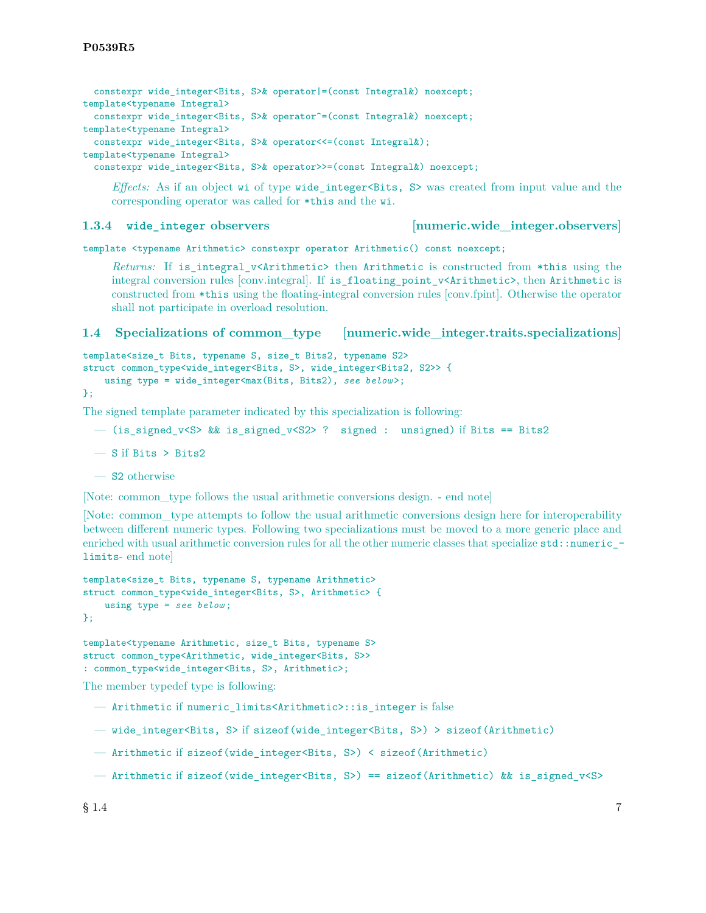constexpr wide integer<Bits, S>& operator|=(const Integral&) noexcept; template<typename Integral> constexpr wide\_integer<Bits, S>& operator^=(const Integral&) noexcept; template<typename Integral> constexpr wide\_integer<Bits, S>& operator<<=(const Integral&); template<typename Integral>

constexpr wide\_integer<Bits, S>& operator>>=(const Integral&) noexcept;

*Effects:* As if an object wi of type wide\_integer<Bits, S> was created from input value and the corresponding operator was called for \*this and the wi.

**1.3.4 wide\_integer observers [numeric.wide\_integer.observers]**

template <typename Arithmetic> constexpr operator Arithmetic() const noexcept;

*Returns:* If is\_integral\_v<Arithmetic> then Arithmetic is constructed from \*this using the integral conversion rules [conv.integral]. If is\_floating\_point\_v<Arithmetic>, then Arithmetic is constructed from \*this using the floating-integral conversion rules [conv.fpint]. Otherwise the operator shall not participate in overload resolution.

# **1.4 Specializations of common\_type [numeric.wide\_integer.traits.specializations]**

```
template<size_t Bits, typename S, size_t Bits2, typename S2>
struct common_type<wide_integer<Bits, S>, wide_integer<Bits2, S2>> {
    using type = wide_integer<max(Bits, Bits2), see below >;
```

```
};
```
The signed template parameter indicated by this specialization is following:

```
- (is_signed_v<S> && is_signed_v<S2> ? signed : unsigned) if Bits == Bits2
```
- S if Bits > Bits2
- S2 otherwise

[Note: common\_type follows the usual arithmetic conversions design. - end note]

[Note: common\_type attempts to follow the usual arithmetic conversions design here for interoperability between different numeric types. Following two specializations must be moved to a more generic place and enriched with usual arithmetic conversion rules for all the other numeric classes that specialize  $std:$ : numeric\_limits- end note]

```
template<size_t Bits, typename S, typename Arithmetic>
struct common_type<wide_integer<Bits, S>, Arithmetic> {
    using type = see below ;
\}:
```

```
template<typename Arithmetic, size_t Bits, typename S>
struct common_type<Arithmetic, wide_integer<Bits, S>>
: common_type<wide_integer<Bits, S>, Arithmetic>;
```
The member typedef type is following:

- Arithmetic if numeric\_limits<Arithmetic>::is\_integer is false
- wide integer<Bits, S> if sizeof(wide\_integer<Bits, S>) > sizeof(Arithmetic)
- Arithmetic if sizeof(wide\_integer<Bits, S>) < sizeof(Arithmetic)
- Arithmetic if sizeof(wide\_integer<Bits, S>) == sizeof(Arithmetic) && is\_signed\_v<S>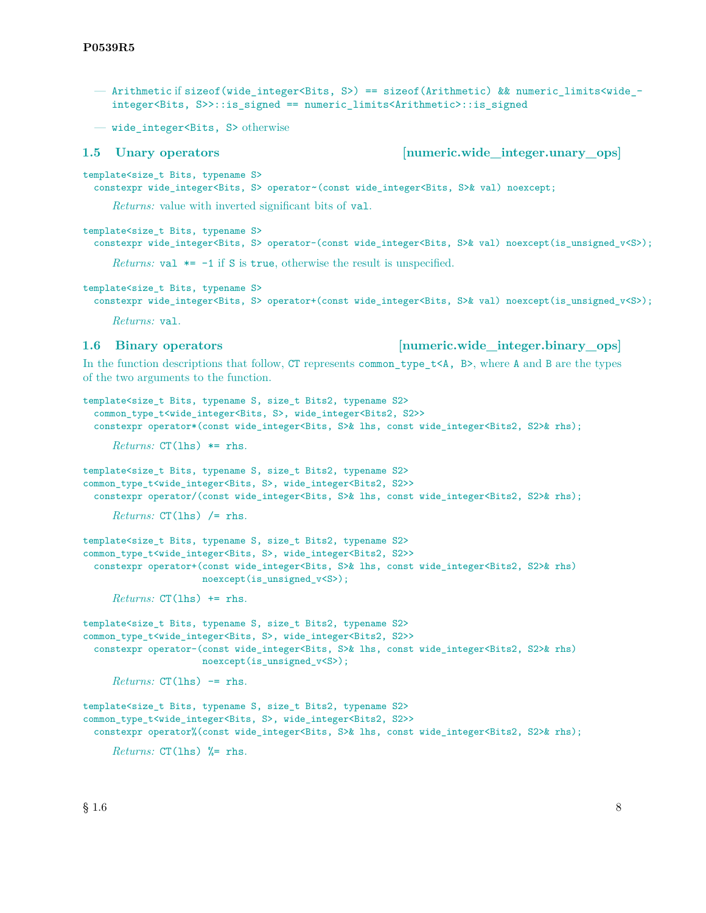- Arithmetic if sizeof(wide integer<Bits, S>) == sizeof(Arithmetic) && numeric limits<wide integer<Bits, S>>::is\_signed == numeric\_limits<Arithmetic>::is\_signed
- wide\_integer<Bits, S> otherwise

# **1.5 Unary operators [numeric.wide\_integer.unary\_ops]**

template<size\_t Bits, typename S>

constexpr wide\_integer<Bits, S> operator~(const wide\_integer<Bits, S>& val) noexcept;

*Returns:* value with inverted significant bits of val.

template<size t Bits, typename S>

```
constexpr wide_integer<Bits, S> operator-(const wide_integer<Bits, S>& val) noexcept(is_unsigned_v<S>);
```
*Returns:*  $\text{val} \equiv -1$  if S is true, otherwise the result is unspecified.

template<size\_t Bits, typename S>

constexpr wide\_integer<Bits, S> operator+(const wide\_integer<Bits, S>& val) noexcept(is\_unsigned\_v<S>);

*Returns:* val.

**1.6 Binary operators 1.6 Binary operators** *numeric.wide* **integer.binary ops** 

In the function descriptions that follow, CT represents common type  $t < A$ , B>, where A and B are the types of the two arguments to the function.

```
template<size_t Bits, typename S, size_t Bits2, typename S2>
 common_type_t<wide_integer<Bits, S>, wide_integer<Bits2, S2>>
  constexpr operator*(const wide_integer<Bits, S>& lhs, const wide_integer<Bits2, S2>& rhs);
     Returns: CT(lhs) *= rhs.
template<size_t Bits, typename S, size_t Bits2, typename S2>
common_type_t<wide_integer<Bits, S>, wide_integer<Bits2, S2>>
 constexpr operator/(const wide_integer<Bits, S>& lhs, const wide_integer<Bits2, S2>& rhs);
     Returns: CT(lhs) /= rhs.
template<size_t Bits, typename S, size_t Bits2, typename S2>
common_type_t<wide_integer<Bits, S>, wide_integer<Bits2, S2>>
 constexpr operator+(const wide_integer<Bits, S>& lhs, const wide_integer<Bits2, S2>& rhs)
                      noexcept(is_unsigned_v<S>);
     Returns: CT(lhs) += rhs.
template<size_t Bits, typename S, size_t Bits2, typename S2>
common_type_t<wide_integer<Bits, S>, wide_integer<Bits2, S2>>
 constexpr operator-(const wide_integer<Bits, S>& lhs, const wide_integer<Bits2, S2>& rhs)
                      noexcept(is_unsigned_v<S>);
     Returns: CT(1hs) \rightarrowtemplate<size_t Bits, typename S, size_t Bits2, typename S2>
common_type_t<wide_integer<Bits, S>, wide_integer<Bits2, S2>>
 constexpr operator%(const wide_integer<Bits, S>& lhs, const wide_integer<Bits2, S2>& rhs);
     Returns: CT(lhs) %= rhs.
```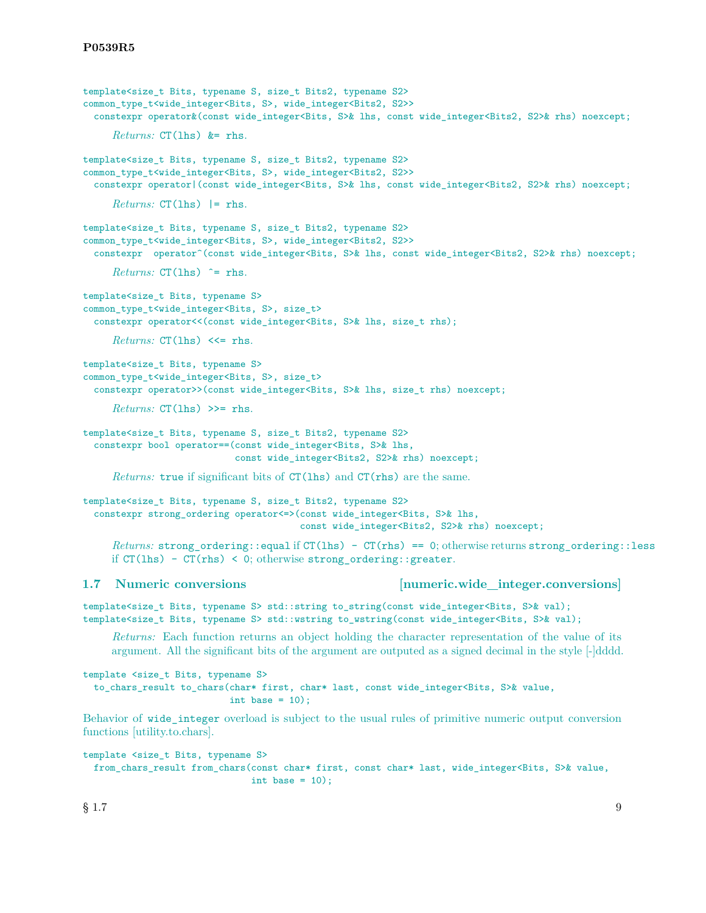```
template<size t Bits, typename S, size t Bits2, typename S2>
common_type_t<wide_integer<Bits, S>, wide_integer<Bits2, S2>>
  constexpr operator&(const wide_integer<Bits, S>& lhs, const wide_integer<Bits2, S2>& rhs) noexcept;
     Returns: CT(lhs) &= rhs.
template<size_t Bits, typename S, size_t Bits2, typename S2>
common_type_t<wide_integer<Bits, S>, wide_integer<Bits2, S2>>
 constexpr operator|(const wide_integer<Bits, S>& lhs, const wide_integer<Bits2, S2>& rhs) noexcept;
     Returns: CT(lhs) |= rhs.
template<size_t Bits, typename S, size_t Bits2, typename S2>
common_type_t<wide_integer<Bits, S>, wide_integer<Bits2, S2>>
 constexpr operator^(const wide_integer<Bits, S>& lhs, const wide_integer<Bits2, S2>& rhs) noexcept;
     Returns: CT(lhs) \hat{ } = rhs.
template<size_t Bits, typename S>
common_type_t<wide_integer<Bits, S>, size_t>
  constexpr operator<<(const wide_integer<Bits, S>& lhs, size_t rhs);
     Returns: CT(lhs) <<= rhs.
template<size_t Bits, typename S>
common_type_t<wide_integer<Bits, S>, size_t>
  constexpr operator>>(const wide integer<Bits, S>& lhs, size t rhs) noexcept;
     Returns: CT(lhs) >>= rhs.
template<size_t Bits, typename S, size_t Bits2, typename S2>
  constexpr bool operator==(const wide_integer<Bits, S>& lhs,
                            const wide_integer<Bits2, S2>& rhs) noexcept;
     Returns: true if significant bits of CT(\text{ls}) and CT(\text{rhs}) are the same.
template<size_t Bits, typename S, size_t Bits2, typename S2>
  constexpr strong_ordering operator<=>(const wide_integer<Bits, S>& lhs,
                                        const wide_integer<Bits2, S2>& rhs) noexcept;
     Returns: strong_ordering::equal if CT(lhs) - CT(rhs) == 0; otherwise returns strong_ordering::less
     if CT(1hs) - CT(rhs) < 0; otherwise strong ordering::greater.
1.7 Numeric conversions [numeric.wide_integer.conversions]
template<size_t Bits, typename S> std::string to_string(const wide_integer<Bits, S>& val);
template<size_t Bits, typename S> std::wstring to_wstring(const wide_integer<Bits, S>& val);
     Returns: Each function returns an object holding the character representation of the value of its
     argument. All the significant bits of the argument are outputed as a signed decimal in the style [-]dddd.
template <size_t Bits, typename S>
  to_chars_result to_chars(char* first, char* last, const wide_integer<Bits, S>& value,
                           int base = 10);
Behavior of wide integer overload is subject to the usual rules of primitive numeric output conversion
functions [utility.to.chars].
template <size_t Bits, typename S>
```
from\_chars\_result from\_chars(const char\* first, const char\* last, wide\_integer<Bits, S>& value, int base =  $10$ ;